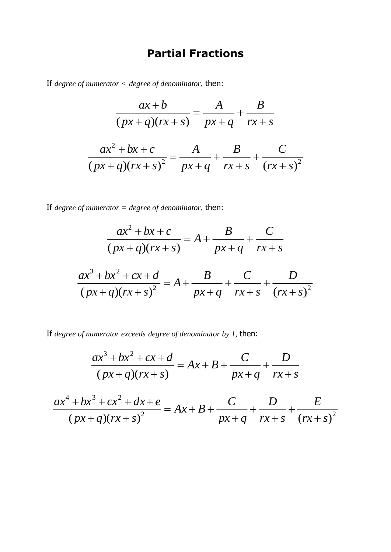## **Partial Fractions**

If *degree of numerator < degree of denominator*, then:

$$
\frac{ax+b}{(px+q)(rx+s)} = \frac{A}{px+q} + \frac{B}{rx+s}
$$

$$
\frac{ax^2+bx+c}{(px+q)(rx+s)^2} = \frac{A}{px+q} + \frac{B}{rx+s} + \frac{C}{(rx+s)^2}
$$

If *degree of numerator = degree of denominator*, then:

$$
\frac{ax^2 + bx + c}{(px + q)(rx + s)} = A + \frac{B}{px + q} + \frac{C}{rx + s}
$$

$$
\frac{ax^3 + bx^2 + cx + d}{(px + q)(rx + s)^2} = A + \frac{B}{px + q} + \frac{C}{rx + s} + \frac{D}{(rx + s)^2}
$$

If *degree of numerator exceeds degree of denominator by 1*, then:

$$
\frac{ax^3 + bx^2 + cx + d}{(px + q)(rx + s)} = Ax + B + \frac{C}{px + q} + \frac{D}{rx + s}
$$

$$
\frac{ax^4 + bx^3 + cx^2 + dx + e}{(px + q)(rx + s)^2} = Ax + B + \frac{C}{px + q} + \frac{D}{rx + s} + \frac{E}{(rx + s)^2}
$$